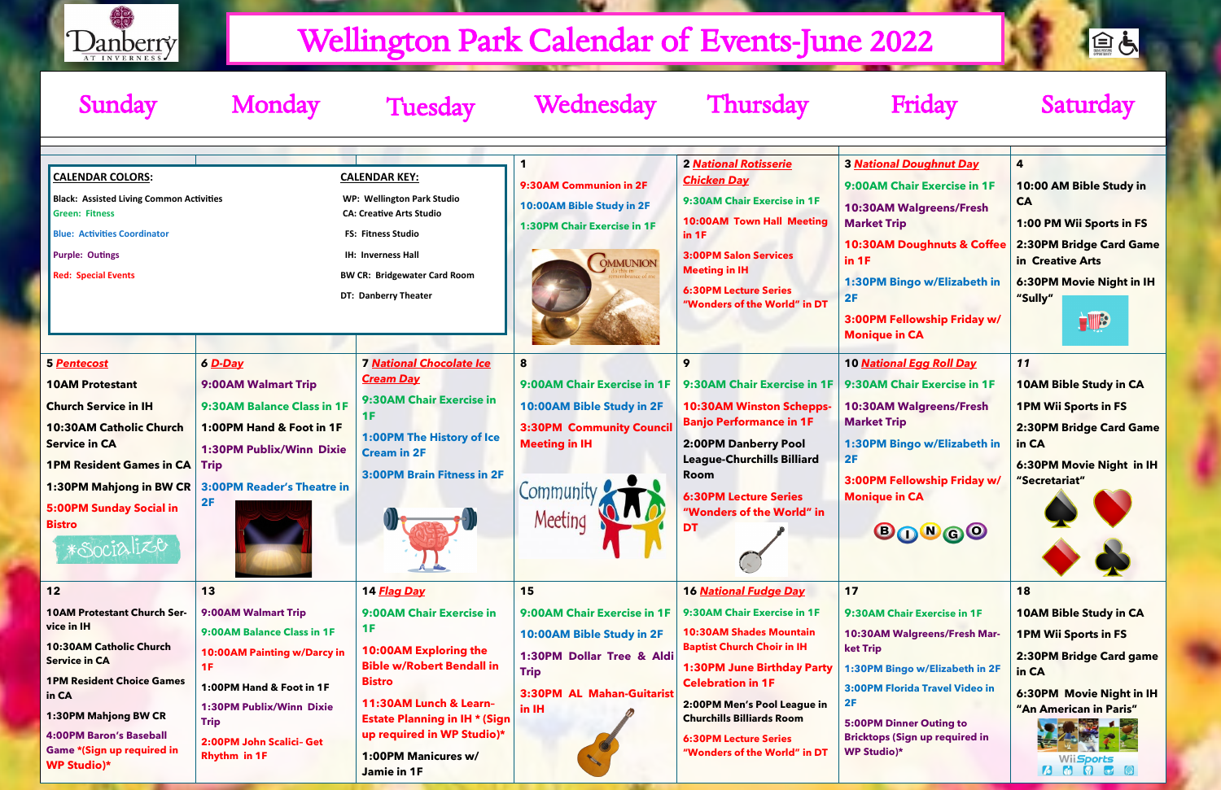| <b>Sunday</b>                                                                                                                                                                                                                                                                 | Monday                                                                                                                                                                                                                 | <b>Tuesday</b>                                                                                                                                                                                                                                                           | Wednesday                                                                                                                                        | <b>Thursday</b>                                                                                                                                                                                                                                                                                                                        | Friday                                                                                                                                                                                                                                                              | Saturday                                                                                                                                                                                     |
|-------------------------------------------------------------------------------------------------------------------------------------------------------------------------------------------------------------------------------------------------------------------------------|------------------------------------------------------------------------------------------------------------------------------------------------------------------------------------------------------------------------|--------------------------------------------------------------------------------------------------------------------------------------------------------------------------------------------------------------------------------------------------------------------------|--------------------------------------------------------------------------------------------------------------------------------------------------|----------------------------------------------------------------------------------------------------------------------------------------------------------------------------------------------------------------------------------------------------------------------------------------------------------------------------------------|---------------------------------------------------------------------------------------------------------------------------------------------------------------------------------------------------------------------------------------------------------------------|----------------------------------------------------------------------------------------------------------------------------------------------------------------------------------------------|
| <b>CALENDAR COLORS:</b><br><b>Black: Assisted Living Common Activities</b><br><b>Green: Fitness</b><br><b>Blue: Activities Coordinator</b><br><b>Purple: Outings</b><br><b>Red: Special Events</b>                                                                            |                                                                                                                                                                                                                        | <b>CALENDAR KEY:</b><br><b>WP: Wellington Park Studio</b><br><b>CA: Creative Arts Studio</b><br><b>FS: Fitness Studio</b><br>IH: Inverness Hall<br><b>BW CR: Bridgewater Card Room</b><br><b>DT: Danberry Theater</b>                                                    | 9:30AM Communion in 2F<br>10:00AM Bible Study in 2F<br><b>1:30PM Chair Exercise in 1F</b><br><b>OMMUNION</b>                                     | <b>2 National Rotisserie</b><br><b>Chicken Day</b><br>9:30AM Chair Exercise in 1F<br><b>10:00AM Town Hall Meeting</b><br>in 1F<br><b>3:00PM Salon Services</b><br><b>Meeting in IH</b><br><b>6:30PM Lecture Series</b><br>"Wonders of the World" in DT                                                                                 | <b>3 National Doughnut Day</b><br>9:00AM Chair Exercise in 1F<br><b>10:30AM Walgreens/Fresh</b><br><b>Market Trip</b><br><b>10:30AM Doughnuts &amp; Coffee</b><br>in 1F<br>1:30PM Bingo w/Elizabeth in<br>2F<br>3:00PM Fellowship Friday w/<br><b>Monique in CA</b> | 4<br>10:00 AM Bible Study in<br><b>CA</b><br>1:00 PM Wii Sports in FS<br>2:30PM Bridge Card Game<br>in Creative Arts<br>6:30PM Movie Night in IH<br>"Sully"<br>HIB                           |
| 5 Pentecost<br><b>10AM Protestant</b><br><b>Church Service in IH</b><br><b>10:30AM Catholic Church</b><br><b>Service in CA</b><br><b>1PM Resident Games in CA</b><br>1:30PM Mahjong in BW CR<br><b>5:00PM Sunday Social in</b><br><b>Bistro</b><br>*Socialize                 | 6 D-Day<br>9:00AM Walmart Trip<br>9:30AM Balance Class in 1F<br>1:00PM Hand & Foot in 1F<br><b>1:30PM Publix/Winn Dixie</b><br><b>Trip</b><br><b>3:00PM Reader's Theatre in</b><br>2F                                  | <b>7 National Chocolate Ice</b><br><b>Cream Day</b><br>9:30AM Chair Exercise in<br>1F<br><b>1:00PM The History of Ice</b><br><b>Cream in 2F</b><br><b>3:00PM Brain Fitness in 2F</b>                                                                                     | 9:00AM Chair Exercise in 1F<br>10:00AM Bible Study in 2F<br><b>3:30PM Community Council</b><br><b>Meeting in IH</b><br>Meeting<br>J              | 9<br>9:30AM Chair Exercise in 1F<br><b>10:30AM Winston Schepps-</b><br><b>Banjo Performance in 1F</b><br>2:00PM Danberry Pool<br><b>League-Churchills Billiard</b><br>Room<br><b>6:30PM Lecture Series</b><br>"Wonders of the World" in                                                                                                | 10 National Egg Roll Day<br>9:30AM Chair Exercise in 1F<br><b>10:30AM Walgreens/Fresh</b><br><b>Market Trip</b><br>1:30PM Bingo w/Elizabeth in<br>2F<br>3:00PM Fellowship Friday w/<br><b>Monique in CA</b><br><b>BONGO</b>                                         | 11<br><b>10AM Bible Study in CA</b><br><b>1PM Wii Sports in FS</b><br>2:30PM Bridge Card Game<br>in CA<br>6:30PM Movie Night in IH<br>"Secretariat"                                          |
| $12$<br><b>10AM Protestant Church Ser-</b><br>vice in IH<br><b>10:30AM Catholic Church</b><br><b>Service in CA</b><br><b>1PM Resident Choice Games</b><br>in CA<br>1:30PM Mahjong BW CR<br><b>4:00PM Baron's Baseball</b><br>Game *(Sign up required in<br><b>WP Studio)*</b> | 13<br>9:00AM Walmart Trip<br>9:00AM Balance Class in 1F<br>10:00AM Painting w/Darcy in<br>1F<br>1:00PM Hand & Foot in 1F<br>1:30PM Publix/Winn Dixie<br><b>Trip</b><br>2:00PM John Scalici- Get<br><b>Rhythm in 1F</b> | 14 Flag Day<br>9:00AM Chair Exercise in<br>1F<br><b>10:00AM Exploring the</b><br><b>Bible w/Robert Bendall in</b><br><b>Bistro</b><br>11:30AM Lunch & Learn-<br><b>Estate Planning in IH * (Sign</b><br>up required in WP Studio)*<br>1:00PM Manicures w/<br>Jamie in 1F | 15<br>9:00AM Chair Exercise in 1F<br>10:00AM Bible Study in 2F<br>1:30PM Dollar Tree & Aldi<br><b>Trip</b><br>3:30PM AL Mahan-Guitarist<br>in IH | <b>16 National Fudge Day</b><br>9:30AM Chair Exercise in 1F<br><b>10:30AM Shades Mountain</b><br><b>Baptist Church Choir in IH</b><br><b>1:30PM June Birthday Party</b><br><b>Celebration in 1F</b><br>2:00PM Men's Pool League in<br><b>Churchills Billiards Room</b><br><b>6:30PM Lecture Series</b><br>"Wonders of the World" in DT | 17<br>9:30AM Chair Exercise in 1F<br>10:30AM Walgreens/Fresh Mar-<br><b>ket Trip</b><br>1:30PM Bingo w/Elizabeth in 2F<br>3:00PM Florida Travel Video in<br>2F<br><b>5:00PM Dinner Outing to</b><br><b>Bricktops (Sign up required in</b><br><b>WP Studio)*</b>     | 18<br><b>10AM Bible Study in CA</b><br><b>1PM Wii Sports in FS</b><br>2:30PM Bridge Card game<br>in CA<br>6:30PM Movie Night in IH<br>"An American in Paris"<br>Wii <i>Sports</i><br>6 9 9 8 |

自占



# Wellington Park Calendar of Events-June 2022